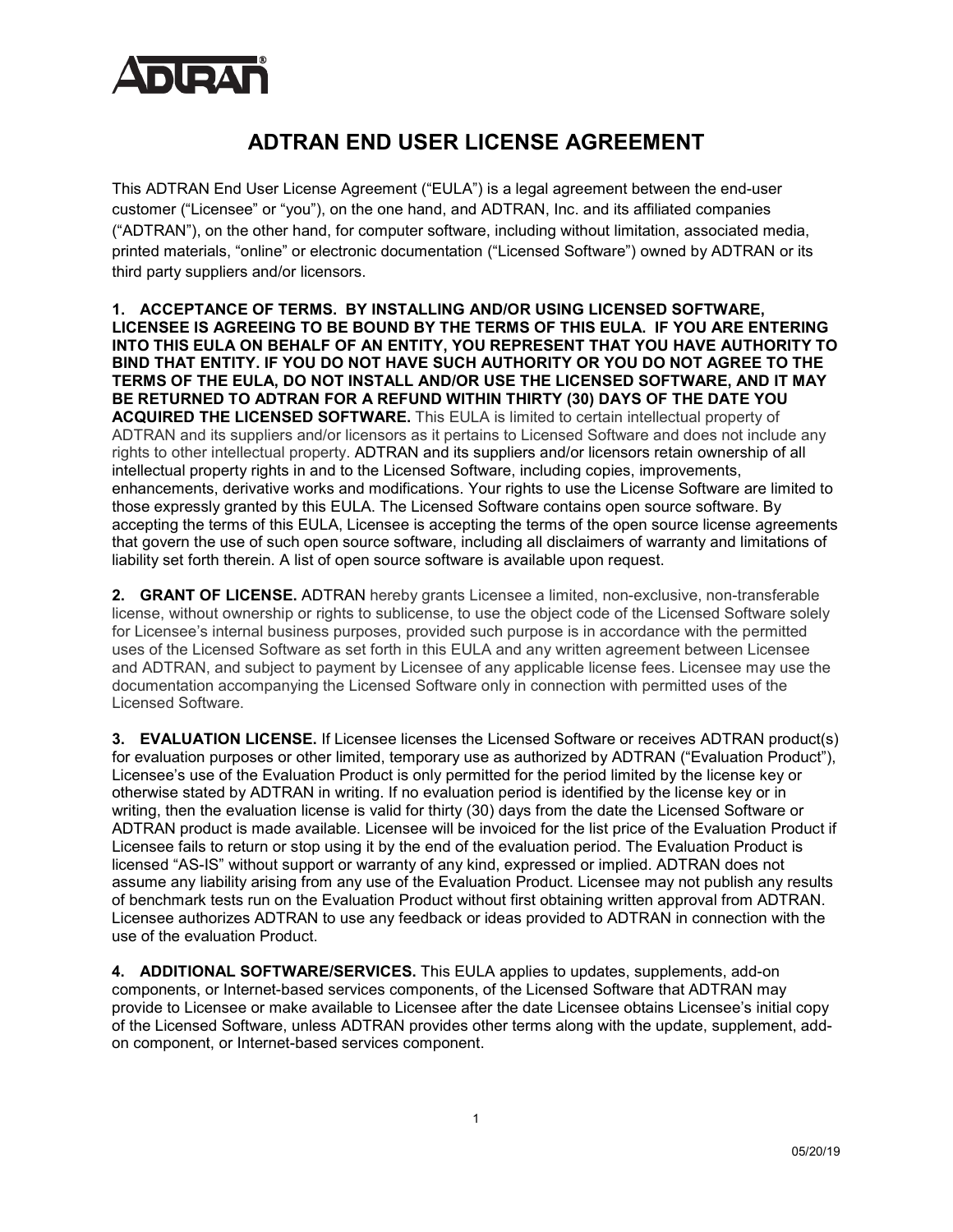

## **ADTRAN END USER LICENSE AGREEMENT**

This ADTRAN End User License Agreement ("EULA") is a legal agreement between the end-user customer ("Licensee" or "you"), on the one hand, and ADTRAN, Inc. and its affiliated companies ("ADTRAN"), on the other hand, for computer software, including without limitation, associated media, printed materials, "online" or electronic documentation ("Licensed Software") owned by ADTRAN or its third party suppliers and/or licensors.

**1. ACCEPTANCE OF TERMS. BY INSTALLING AND/OR USING LICENSED SOFTWARE, LICENSEE IS AGREEING TO BE BOUND BY THE TERMS OF THIS EULA. IF YOU ARE ENTERING INTO THIS EULA ON BEHALF OF AN ENTITY, YOU REPRESENT THAT YOU HAVE AUTHORITY TO BIND THAT ENTITY. IF YOU DO NOT HAVE SUCH AUTHORITY OR YOU DO NOT AGREE TO THE TERMS OF THE EULA, DO NOT INSTALL AND/OR USE THE LICENSED SOFTWARE, AND IT MAY BE RETURNED TO ADTRAN FOR A REFUND WITHIN THIRTY (30) DAYS OF THE DATE YOU ACQUIRED THE LICENSED SOFTWARE.** This EULA is limited to certain intellectual property of ADTRAN and its suppliers and/or licensors as it pertains to Licensed Software and does not include any rights to other intellectual property. ADTRAN and its suppliers and/or licensors retain ownership of all intellectual property rights in and to the Licensed Software, including copies, improvements, enhancements, derivative works and modifications. Your rights to use the License Software are limited to those expressly granted by this EULA. The Licensed Software contains open source software. By accepting the terms of this EULA, Licensee is accepting the terms of the open source license agreements that govern the use of such open source software, including all disclaimers of warranty and limitations of liability set forth therein. A list of open source software is available upon request.

**2. GRANT OF LICENSE.** ADTRAN hereby grants Licensee a limited, non-exclusive, non-transferable license, without ownership or rights to sublicense, to use the object code of the Licensed Software solely for Licensee's internal business purposes, provided such purpose is in accordance with the permitted uses of the Licensed Software as set forth in this EULA and any written agreement between Licensee and ADTRAN, and subject to payment by Licensee of any applicable license fees. Licensee may use the documentation accompanying the Licensed Software only in connection with permitted uses of the Licensed Software.

**3. EVALUATION LICENSE.** If Licensee licenses the Licensed Software or receives ADTRAN product(s) for evaluation purposes or other limited, temporary use as authorized by ADTRAN ("Evaluation Product"), Licensee's use of the Evaluation Product is only permitted for the period limited by the license key or otherwise stated by ADTRAN in writing. If no evaluation period is identified by the license key or in writing, then the evaluation license is valid for thirty (30) days from the date the Licensed Software or ADTRAN product is made available. Licensee will be invoiced for the list price of the Evaluation Product if Licensee fails to return or stop using it by the end of the evaluation period. The Evaluation Product is licensed "AS-IS" without support or warranty of any kind, expressed or implied. ADTRAN does not assume any liability arising from any use of the Evaluation Product. Licensee may not publish any results of benchmark tests run on the Evaluation Product without first obtaining written approval from ADTRAN. Licensee authorizes ADTRAN to use any feedback or ideas provided to ADTRAN in connection with the use of the evaluation Product.

**4. ADDITIONAL SOFTWARE/SERVICES.** This EULA applies to updates, supplements, add-on components, or Internet-based services components, of the Licensed Software that ADTRAN may provide to Licensee or make available to Licensee after the date Licensee obtains Licensee's initial copy of the Licensed Software, unless ADTRAN provides other terms along with the update, supplement, addon component, or Internet-based services component.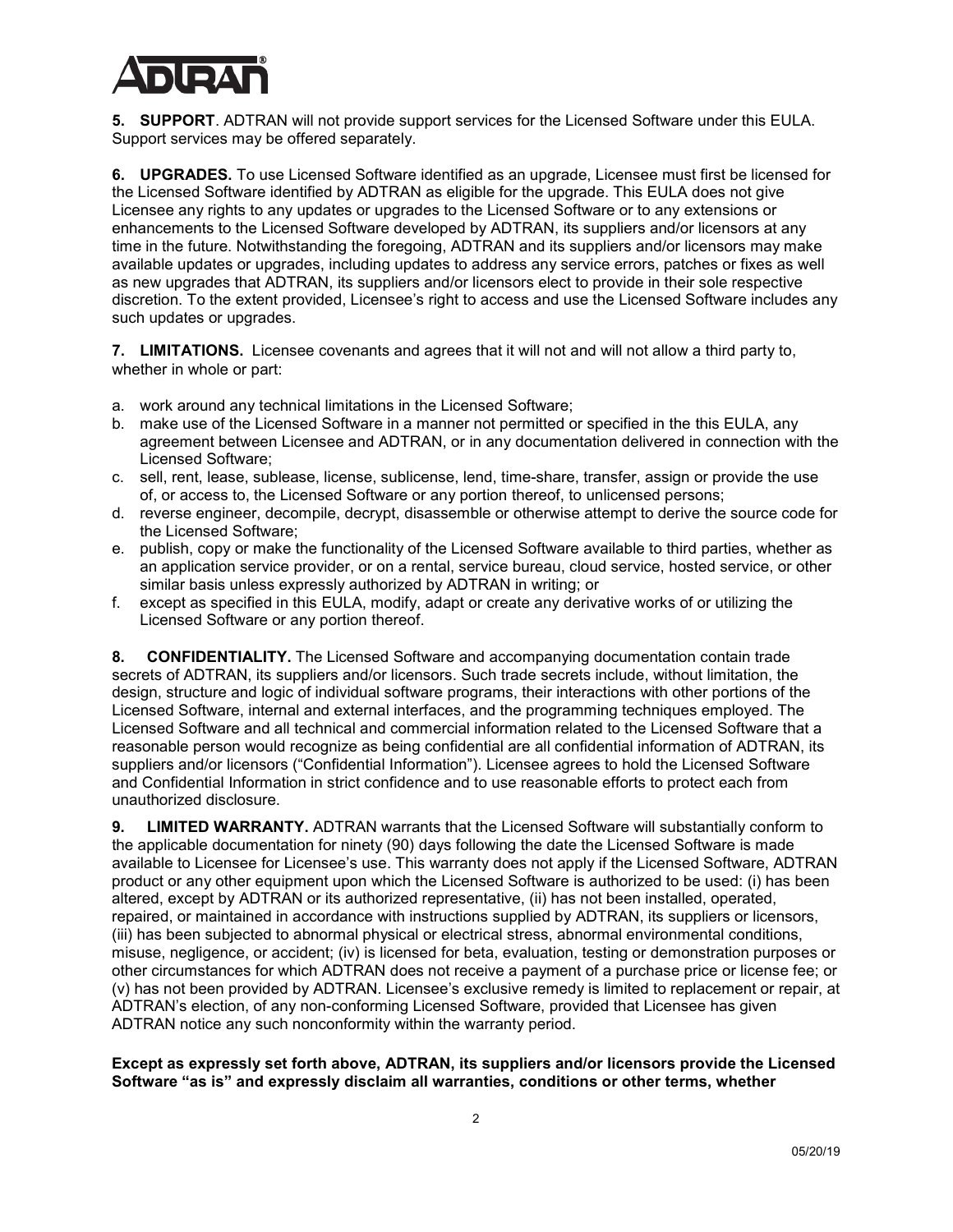

**5. SUPPORT**. ADTRAN will not provide support services for the Licensed Software under this EULA. Support services may be offered separately.

**6. UPGRADES.** To use Licensed Software identified as an upgrade, Licensee must first be licensed for the Licensed Software identified by ADTRAN as eligible for the upgrade. This EULA does not give Licensee any rights to any updates or upgrades to the Licensed Software or to any extensions or enhancements to the Licensed Software developed by ADTRAN, its suppliers and/or licensors at any time in the future. Notwithstanding the foregoing, ADTRAN and its suppliers and/or licensors may make available updates or upgrades, including updates to address any service errors, patches or fixes as well as new upgrades that ADTRAN, its suppliers and/or licensors elect to provide in their sole respective discretion. To the extent provided, Licensee's right to access and use the Licensed Software includes any such updates or upgrades.

**7. LIMITATIONS.** Licensee covenants and agrees that it will not and will not allow a third party to, whether in whole or part:

- a. work around any technical limitations in the Licensed Software;
- b. make use of the Licensed Software in a manner not permitted or specified in the this EULA, any agreement between Licensee and ADTRAN, or in any documentation delivered in connection with the Licensed Software;
- c. sell, rent, lease, sublease, license, sublicense, lend, time-share, transfer, assign or provide the use of, or access to, the Licensed Software or any portion thereof, to unlicensed persons;
- d. reverse engineer, decompile, decrypt, disassemble or otherwise attempt to derive the source code for the Licensed Software;
- e. publish, copy or make the functionality of the Licensed Software available to third parties, whether as an application service provider, or on a rental, service bureau, cloud service, hosted service, or other similar basis unless expressly authorized by ADTRAN in writing; or
- f. except as specified in this EULA, modify, adapt or create any derivative works of or utilizing the Licensed Software or any portion thereof.

**8. CONFIDENTIALITY.** The Licensed Software and accompanying documentation contain trade secrets of ADTRAN, its suppliers and/or licensors. Such trade secrets include, without limitation, the design, structure and logic of individual software programs, their interactions with other portions of the Licensed Software, internal and external interfaces, and the programming techniques employed. The Licensed Software and all technical and commercial information related to the Licensed Software that a reasonable person would recognize as being confidential are all confidential information of ADTRAN, its suppliers and/or licensors ("Confidential Information"). Licensee agrees to hold the Licensed Software and Confidential Information in strict confidence and to use reasonable efforts to protect each from unauthorized disclosure.

**9. LIMITED WARRANTY.** ADTRAN warrants that the Licensed Software will substantially conform to the applicable documentation for ninety (90) days following the date the Licensed Software is made available to Licensee for Licensee's use. This warranty does not apply if the Licensed Software, ADTRAN product or any other equipment upon which the Licensed Software is authorized to be used: (i) has been altered, except by ADTRAN or its authorized representative, (ii) has not been installed, operated, repaired, or maintained in accordance with instructions supplied by ADTRAN, its suppliers or licensors, (iii) has been subjected to abnormal physical or electrical stress, abnormal environmental conditions, misuse, negligence, or accident; (iv) is licensed for beta, evaluation, testing or demonstration purposes or other circumstances for which ADTRAN does not receive a payment of a purchase price or license fee; or (v) has not been provided by ADTRAN. Licensee's exclusive remedy is limited to replacement or repair, at ADTRAN's election, of any non-conforming Licensed Software, provided that Licensee has given ADTRAN notice any such nonconformity within the warranty period.

**Except as expressly set forth above, ADTRAN, its suppliers and/or licensors provide the Licensed Software "as is" and expressly disclaim all warranties, conditions or other terms, whether**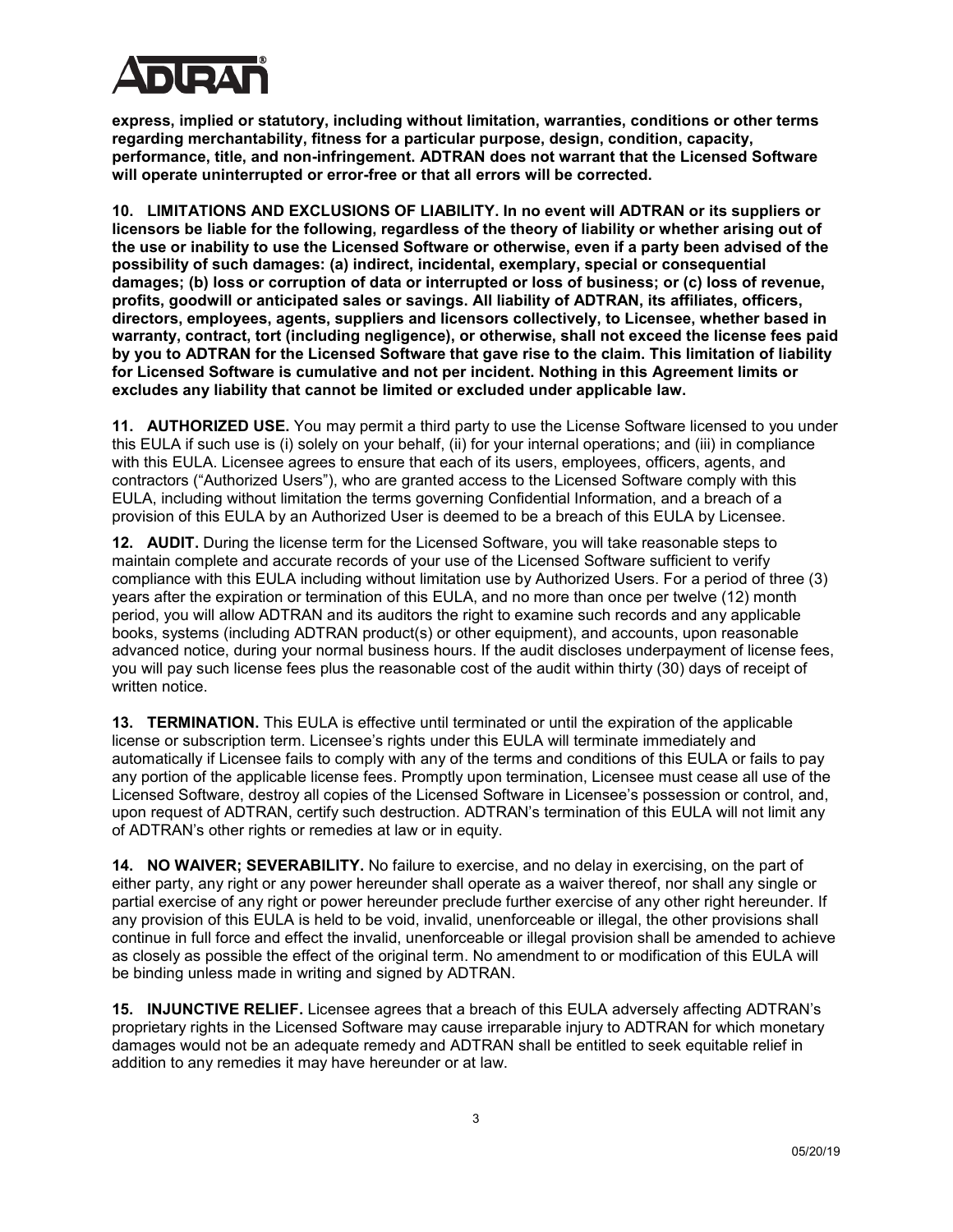

**express, implied or statutory, including without limitation, warranties, conditions or other terms regarding merchantability, fitness for a particular purpose, design, condition, capacity, performance, title, and non-infringement. ADTRAN does not warrant that the Licensed Software will operate uninterrupted or error-free or that all errors will be corrected.** 

**10. LIMITATIONS AND EXCLUSIONS OF LIABILITY. In no event will ADTRAN or its suppliers or licensors be liable for the following, regardless of the theory of liability or whether arising out of the use or inability to use the Licensed Software or otherwise, even if a party been advised of the possibility of such damages: (a) indirect, incidental, exemplary, special or consequential damages; (b) loss or corruption of data or interrupted or loss of business; or (c) loss of revenue, profits, goodwill or anticipated sales or savings. All liability of ADTRAN, its affiliates, officers, directors, employees, agents, suppliers and licensors collectively, to Licensee, whether based in warranty, contract, tort (including negligence), or otherwise, shall not exceed the license fees paid by you to ADTRAN for the Licensed Software that gave rise to the claim. This limitation of liability for Licensed Software is cumulative and not per incident. Nothing in this Agreement limits or excludes any liability that cannot be limited or excluded under applicable law.**

**11. AUTHORIZED USE.** You may permit a third party to use the License Software licensed to you under this EULA if such use is (i) solely on your behalf, (ii) for your internal operations; and (iii) in compliance with this EULA. Licensee agrees to ensure that each of its users, employees, officers, agents, and contractors ("Authorized Users"), who are granted access to the Licensed Software comply with this EULA, including without limitation the terms governing Confidential Information, and a breach of a provision of this EULA by an Authorized User is deemed to be a breach of this EULA by Licensee.

**12. AUDIT.** During the license term for the Licensed Software, you will take reasonable steps to maintain complete and accurate records of your use of the Licensed Software sufficient to verify compliance with this EULA including without limitation use by Authorized Users. For a period of three (3) years after the expiration or termination of this EULA, and no more than once per twelve (12) month period, you will allow ADTRAN and its auditors the right to examine such records and any applicable books, systems (including ADTRAN product(s) or other equipment), and accounts, upon reasonable advanced notice, during your normal business hours. If the audit discloses underpayment of license fees, you will pay such license fees plus the reasonable cost of the audit within thirty (30) days of receipt of written notice.

**13. TERMINATION.** This EULA is effective until terminated or until the expiration of the applicable license or subscription term. Licensee's rights under this EULA will terminate immediately and automatically if Licensee fails to comply with any of the terms and conditions of this EULA or fails to pay any portion of the applicable license fees. Promptly upon termination, Licensee must cease all use of the Licensed Software, destroy all copies of the Licensed Software in Licensee's possession or control, and, upon request of ADTRAN, certify such destruction. ADTRAN's termination of this EULA will not limit any of ADTRAN's other rights or remedies at law or in equity.

**14. NO WAIVER; SEVERABILITY.** No failure to exercise, and no delay in exercising, on the part of either party, any right or any power hereunder shall operate as a waiver thereof, nor shall any single or partial exercise of any right or power hereunder preclude further exercise of any other right hereunder. If any provision of this EULA is held to be void, invalid, unenforceable or illegal, the other provisions shall continue in full force and effect the invalid, unenforceable or illegal provision shall be amended to achieve as closely as possible the effect of the original term. No amendment to or modification of this EULA will be binding unless made in writing and signed by ADTRAN.

**15. INJUNCTIVE RELIEF.** Licensee agrees that a breach of this EULA adversely affecting ADTRAN's proprietary rights in the Licensed Software may cause irreparable injury to ADTRAN for which monetary damages would not be an adequate remedy and ADTRAN shall be entitled to seek equitable relief in addition to any remedies it may have hereunder or at law.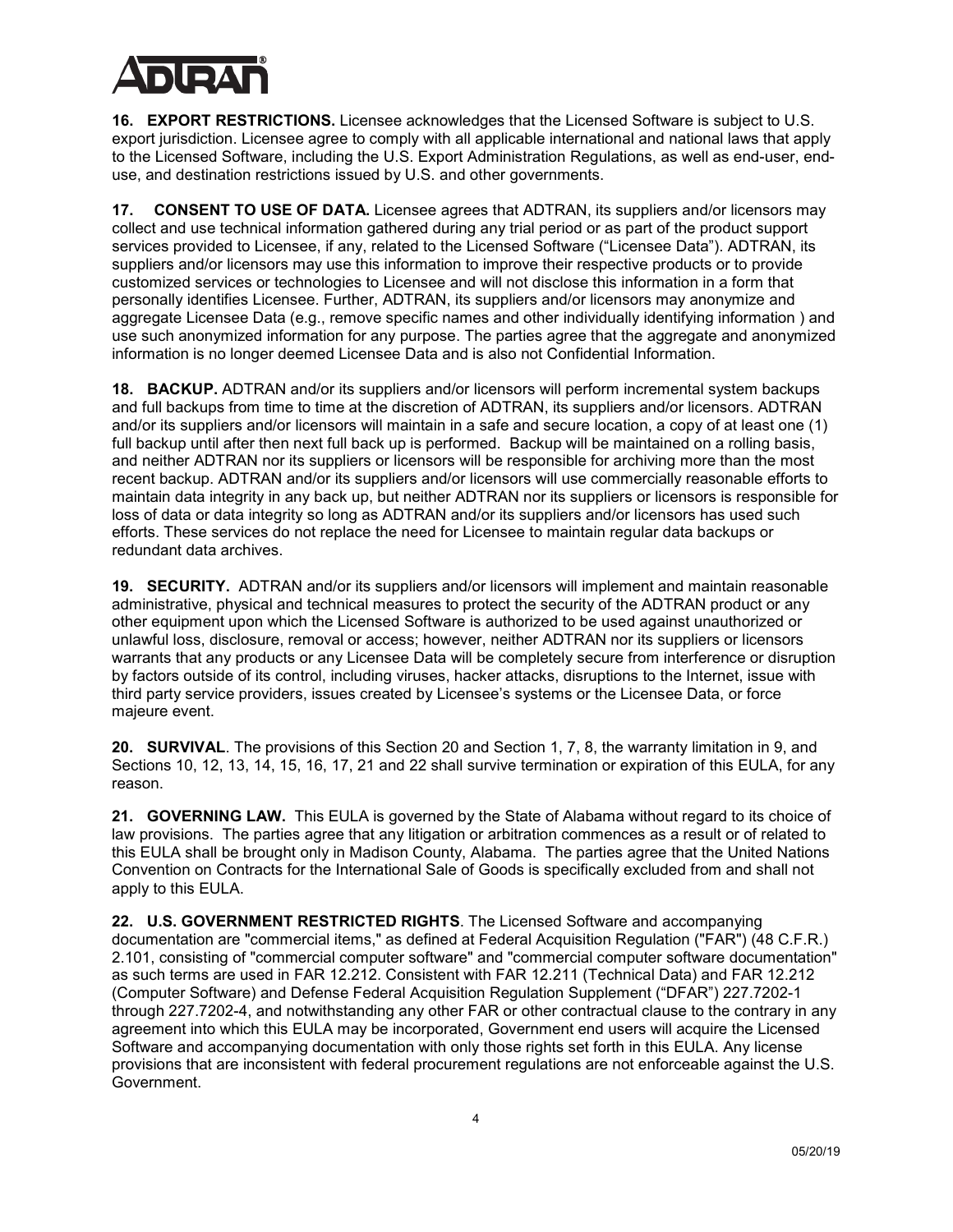

**16. EXPORT RESTRICTIONS.** Licensee acknowledges that the Licensed Software is subject to U.S. export jurisdiction. Licensee agree to comply with all applicable international and national laws that apply to the Licensed Software, including the U.S. Export Administration Regulations, as well as end-user, enduse, and destination restrictions issued by U.S. and other governments.

**17. CONSENT TO USE OF DATA.** Licensee agrees that ADTRAN, its suppliers and/or licensors may collect and use technical information gathered during any trial period or as part of the product support services provided to Licensee, if any, related to the Licensed Software ("Licensee Data"). ADTRAN, its suppliers and/or licensors may use this information to improve their respective products or to provide customized services or technologies to Licensee and will not disclose this information in a form that personally identifies Licensee. Further, ADTRAN, its suppliers and/or licensors may anonymize and aggregate Licensee Data (e.g., remove specific names and other individually identifying information ) and use such anonymized information for any purpose. The parties agree that the aggregate and anonymized information is no longer deemed Licensee Data and is also not Confidential Information.

**18. BACKUP.** ADTRAN and/or its suppliers and/or licensors will perform incremental system backups and full backups from time to time at the discretion of ADTRAN, its suppliers and/or licensors. ADTRAN and/or its suppliers and/or licensors will maintain in a safe and secure location, a copy of at least one (1) full backup until after then next full back up is performed. Backup will be maintained on a rolling basis, and neither ADTRAN nor its suppliers or licensors will be responsible for archiving more than the most recent backup. ADTRAN and/or its suppliers and/or licensors will use commercially reasonable efforts to maintain data integrity in any back up, but neither ADTRAN nor its suppliers or licensors is responsible for loss of data or data integrity so long as ADTRAN and/or its suppliers and/or licensors has used such efforts. These services do not replace the need for Licensee to maintain regular data backups or redundant data archives.

**19. SECURITY.** ADTRAN and/or its suppliers and/or licensors will implement and maintain reasonable administrative, physical and technical measures to protect the security of the ADTRAN product or any other equipment upon which the Licensed Software is authorized to be used against unauthorized or unlawful loss, disclosure, removal or access; however, neither ADTRAN nor its suppliers or licensors warrants that any products or any Licensee Data will be completely secure from interference or disruption by factors outside of its control, including viruses, hacker attacks, disruptions to the Internet, issue with third party service providers, issues created by Licensee's systems or the Licensee Data, or force majeure event.

**20. SURVIVAL**. The provisions of this Section 20 and Section 1, 7, 8, the warranty limitation in 9, and Sections 10, 12, 13, 14, 15, 16, 17, 21 and 22 shall survive termination or expiration of this EULA, for any reason.

**21. GOVERNING LAW.** This EULA is governed by the State of Alabama without regard to its choice of law provisions. The parties agree that any litigation or arbitration commences as a result or of related to this EULA shall be brought only in Madison County, Alabama. The parties agree that the United Nations Convention on Contracts for the International Sale of Goods is specifically excluded from and shall not apply to this EULA.

**22. U.S. GOVERNMENT RESTRICTED RIGHTS**. The Licensed Software and accompanying documentation are "commercial items," as defined at Federal Acquisition Regulation ("FAR") (48 C.F.R.) 2.101, consisting of "commercial computer software" and "commercial computer software documentation" as such terms are used in FAR 12.212. Consistent with FAR 12.211 (Technical Data) and FAR 12.212 (Computer Software) and Defense Federal Acquisition Regulation Supplement ("DFAR") 227.7202-1 through 227.7202-4, and notwithstanding any other FAR or other contractual clause to the contrary in any agreement into which this EULA may be incorporated, Government end users will acquire the Licensed Software and accompanying documentation with only those rights set forth in this EULA. Any license provisions that are inconsistent with federal procurement regulations are not enforceable against the U.S. Government.